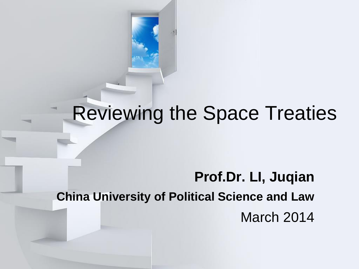

## Reviewing the Space Treaties

#### **Prof.Dr. LI, Juqian China University of Political Science and Law** March 2014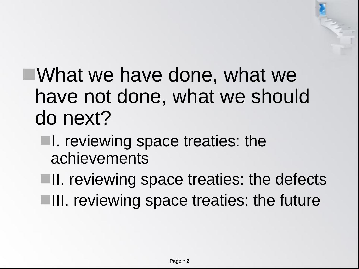# What we have done, what we have not done, what we should do next?

**I.** reviewing space treaties: the achievements

**II.** reviewing space treaties: the defects **III.** reviewing space treaties: the future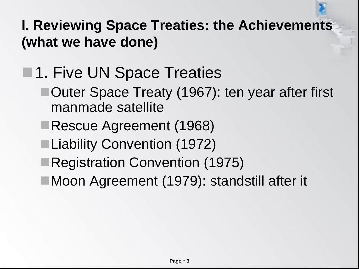**I. Reviewing Space Treaties: the Achievements (what we have done)**

### **1. Five UN Space Treaties**

- ■Outer Space Treaty (1967): ten year after first manmade satellite
- Rescue Agreement (1968)
- ■Liability Convention (1972)
- Registration Convention (1975)
- ■Moon Agreement (1979): standstill after it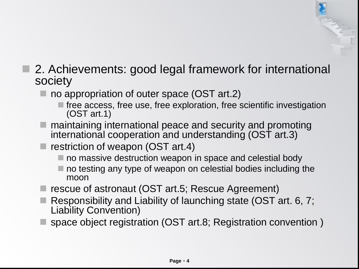#### ■ 2. Achievements: good legal framework for international society

- no appropriation of outer space (OST art.2)
	- $\blacksquare$  free access, free use, free exploration, free scientific investigation (OST art.1)
- $\blacksquare$  maintaining international peace and security and promoting international cooperation and understanding (OST art.3)
- $\blacksquare$  restriction of weapon (OST art.4)
	- no massive destruction weapon in space and celestial body
	- $\blacksquare$  no testing any type of weapon on celestial bodies including the moon
- rescue of astronaut (OST art.5; Rescue Agreement)
- Responsibility and Liability of launching state (OST art. 6, 7; Liability Convention)
- space object registration (OST art.8; Registration convention )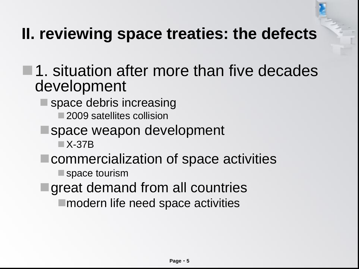#### **II. reviewing space treaties: the defects**

- $\blacksquare$  1. situation after more than five decades development
	- $\blacksquare$  space debris increasing
		- 2009 satellites collision
		- space weapon development
			- X-37B
	- commercialization of space activities
		- space tourism
		- great demand from all countries ■ modern life need space activities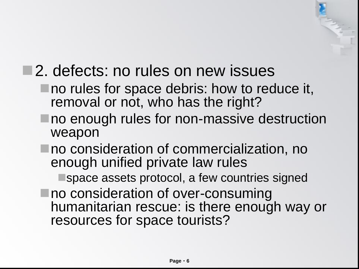#### ■2. defects: no rules on new issues

- no rules for space debris: how to reduce it, removal or not, who has the right?
- no enough rules for non-massive destruction weapon
- no consideration of commercialization, no enough unified private law rules

space assets protocol, a few countries signed

■ no consideration of over-consuming humanitarian rescue: is there enough way or resources for space tourists?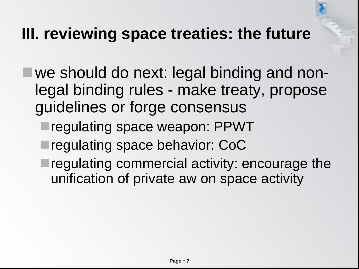#### **III. reviewing space treaties: the future**

- we should do next: legal binding and nonlegal binding rules - make treaty, propose guidelines or forge consensus
	- regulating space weapon: PPWT
	- regulating space behavior: CoC
	- **Tregulating commercial activity: encourage the** unification of private aw on space activity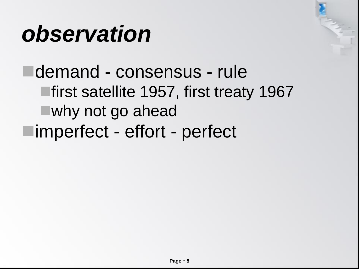# *observation*

demand - consensus - rule ■first satellite 1957, first treaty 1967 why not go ahead imperfect - effort - perfect